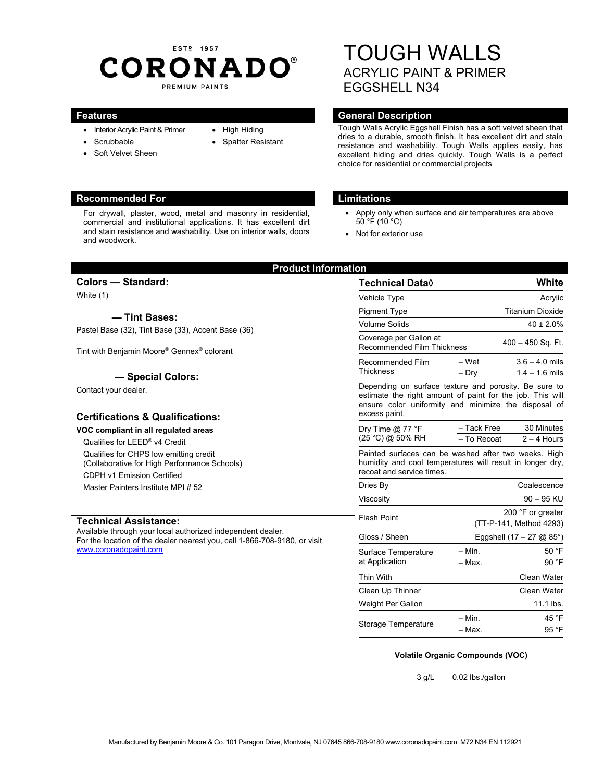# EST<sub>2</sub> 1957 **CORONADO®** PREMIUM PAINTS

For drywall, plaster, wood, metal and masonry in residential, commercial and institutional applications. It has excellent dirt and stain resistance and washability. Use on interior walls, doors

- Interior Acrylic Paint & Primer
- Scrubbable
- Soft Velvet Sheen
- High Hiding
- Spatter Resistant

# TOUGH WALLS ACRYLIC PAINT & PRIMER EGGSHELL N34

# **Features General Description Contract Description Acts**

Tough Walls Acrylic Eggshell Finish has a soft velvet sheen that dries to a durable, smooth finish. It has excellent dirt and stain resistance and washability. Tough Walls applies easily, has excellent hiding and dries quickly. Tough Walls is a perfect choice for residential or commercial projects

- Apply only when surface and air temperatures are above  $50^{\circ}$ F (10 $^{\circ}$ C)
- Not for exterior use

| <b>Colors - Standard:</b>                                                                                                                                                                         | Technical Data $\Diamond$                                                                                                                                                  | <b>White</b>                                              |
|---------------------------------------------------------------------------------------------------------------------------------------------------------------------------------------------------|----------------------------------------------------------------------------------------------------------------------------------------------------------------------------|-----------------------------------------------------------|
| White (1)                                                                                                                                                                                         | Vehicle Type                                                                                                                                                               | Acrylic                                                   |
| - Tint Bases:                                                                                                                                                                                     | <b>Pigment Type</b>                                                                                                                                                        | <b>Titanium Dioxide</b>                                   |
|                                                                                                                                                                                                   | <b>Volume Solids</b>                                                                                                                                                       | $40 \pm 2.0\%$                                            |
| Pastel Base (32), Tint Base (33), Accent Base (36)<br>Tint with Benjamin Moore® Gennex® colorant                                                                                                  | Coverage per Gallon at<br><b>Recommended Film Thickness</b>                                                                                                                | $400 - 450$ Sq. Ft.                                       |
|                                                                                                                                                                                                   | Recommended Film<br><b>Thickness</b>                                                                                                                                       | $3.6 - 4.0$ mils<br>– Wet                                 |
| - Special Colors:                                                                                                                                                                                 |                                                                                                                                                                            | $-$ Dry<br>$1.4 - 1.6$ mils                               |
| Contact your dealer.                                                                                                                                                                              | Depending on surface texture and porosity. Be sure to<br>estimate the right amount of paint for the job. This will<br>ensure color uniformity and minimize the disposal of |                                                           |
| <b>Certifications &amp; Qualifications:</b>                                                                                                                                                       | excess paint.                                                                                                                                                              |                                                           |
| VOC compliant in all regulated areas<br>Qualifies for LEED® v4 Credit<br>Qualifies for CHPS low emitting credit<br>(Collaborative for High Performance Schools)<br>CDPH v1 Emission Certified     | Dry Time $@$ 77 °F<br>(25 °C) @ 50% RH                                                                                                                                     | - Tack Free<br>30 Minutes<br>- To Recoat<br>$2 - 4$ Hours |
|                                                                                                                                                                                                   | Painted surfaces can be washed after two weeks. High<br>humidity and cool temperatures will result in longer dry,<br>recoat and service times.                             |                                                           |
| Master Painters Institute MPI # 52                                                                                                                                                                | Dries By                                                                                                                                                                   | Coalescence                                               |
|                                                                                                                                                                                                   | Viscosity                                                                                                                                                                  | $90 - 95$ KU                                              |
| <b>Technical Assistance:</b><br>Available through your local authorized independent dealer.<br>For the location of the dealer nearest you, call 1-866-708-9180, or visit<br>www.coronadopaint.com | <b>Flash Point</b>                                                                                                                                                         | 200 °F or greater<br>(TT-P-141, Method 4293)              |
|                                                                                                                                                                                                   | Gloss / Sheen                                                                                                                                                              | Eggshell $(17 - 27 \text{ @ } 85^{\circ})$                |
|                                                                                                                                                                                                   | Surface Temperature<br>at Application                                                                                                                                      | – Min.<br>50 °F                                           |
|                                                                                                                                                                                                   |                                                                                                                                                                            | 90 °F<br>$-Max$ .                                         |
|                                                                                                                                                                                                   | Thin With                                                                                                                                                                  | Clean Water                                               |
|                                                                                                                                                                                                   | Clean Up Thinner                                                                                                                                                           | Clean Water                                               |
|                                                                                                                                                                                                   | Weight Per Gallon                                                                                                                                                          | 11.1 lbs.                                                 |
|                                                                                                                                                                                                   | <b>Storage Temperature</b>                                                                                                                                                 | 45 °F<br>$-$ Min.                                         |
|                                                                                                                                                                                                   |                                                                                                                                                                            | 95 °F<br>$-$ Max.                                         |
|                                                                                                                                                                                                   | <b>Volatile Organic Compounds (VOC)</b>                                                                                                                                    |                                                           |
|                                                                                                                                                                                                   | $3$ g/L                                                                                                                                                                    | 0.02 lbs./gallon                                          |

## **Recommended For Limitations and Limitations**

and woodwork.